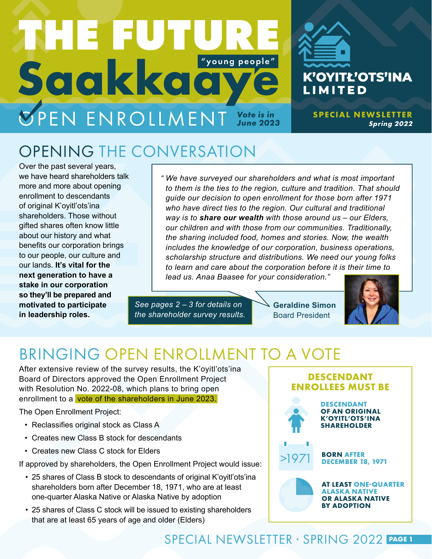# Saakkaa *Vote is in*  **ØPEN ENROLLMENT** Vote is in **THE FUTURE** "young people"

## OPENING THE CONVERSATION

Over the past several years, we have heard shareholders talk more and more about opening enrollment to descendants of original K'oyitl'ots'ina shareholders. Those without gifted shares often know little about our history and what benefits our corporation brings to our people, our culture and our lands. **It's vital for the next generation to have a stake in our corporation so they'll be prepared and motivated to participate in leadership roles.**

*" We have surveyed our shareholders and what is most important to them is the ties to the region, culture and tradition. That should guide our decision to open enrollment for those born after 1971 who have direct ties to the region. Our cultural and traditional way is to share our wealth with those around us – our Elders, our children and with those from our communities. Traditionally, the sharing included food, homes and stories. Now, the wealth includes the knowledge of our corporation, business operations, scholarship structure and distributions. We need our young folks to learn and care about the corporation before it is their time to lead us. Anaa Baasee for your consideration."*

*See pages 2 – 3 for details on the shareholder survey results.* **Geraldine Simon** Board President



**SPECIAL NEWSLETTER** 

K'OYITŁ'OTS'INA

**LIMITED** 

**Spring 2022**

### BRINGING OPEN ENROLLMENT TO A VOTE

After extensive review of the survey results, the K'oyitl'ots'ina Board of Directors approved the Open Enrollment Project with Resolution No. 2022-08, which plans to bring open enrollment to a vote of the shareholders in June 2023.

The Open Enrollment Project:

- Reclassifies original stock as Class A
- Creates new Class B stock for descendants
- • Creates new Class C stock for Elders

If approved by shareholders, the Open Enrollment Project would issue:

- 25 shares of Class B stock to descendants of original K'oyitl'ots'ina shareholders born after December 18, 1971, who are at least one-quarter Alaska Native or Alaska Native by adoption
- 25 shares of Class C stock will be issued to existing shareholders that are at least 65 years of age and older (Elders)



**OR ALASKA NATIVE BY ADOPTION**

### SPECIAL NEWSLETTER · SPRING 2022 **PAGE 1**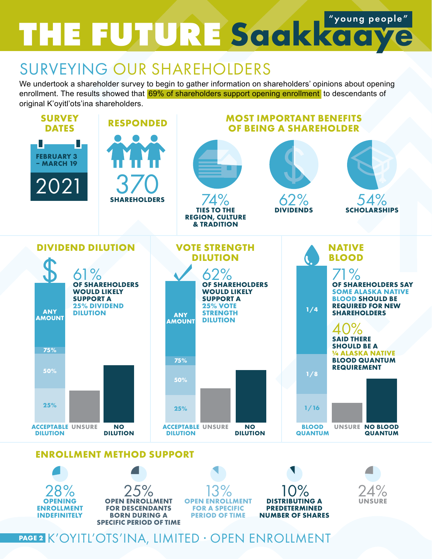# **THE FUTURE Saakkaaye** "young people"

### SURVEYING OUR SHAREHOLDERS

We undertook a shareholder survey to begin to gather information on shareholders' opinions about opening enrollment. The results showed that 69% of shareholders support opening enrollment to descendants of original K'oyitl'ots'ina shareholders.



#### **ENROLLMENT METHOD SUPPORT**



**PAGE 2** K'OYITL'OTS'INA, LIMITED · OPEN ENROLLMENT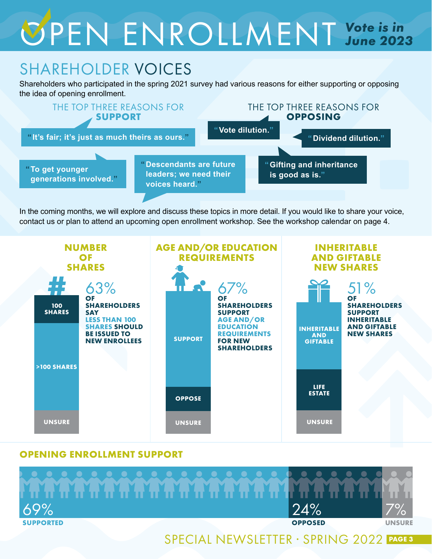# OPEN ENROLLMENT *Vote is in June 2023*

### SHAREHOLDER VOICES

Shareholders who participated in the spring 2021 survey had various reasons for either supporting or opposing the idea of opening enrollment.



In the coming months, we will explore and discuss these topics in more detail. If you would like to share your voice, contact us or plan to attend an upcoming open enrollment workshop. See the workshop calendar on page 4.



#### **OPENING ENROLLMENT SUPPORT**